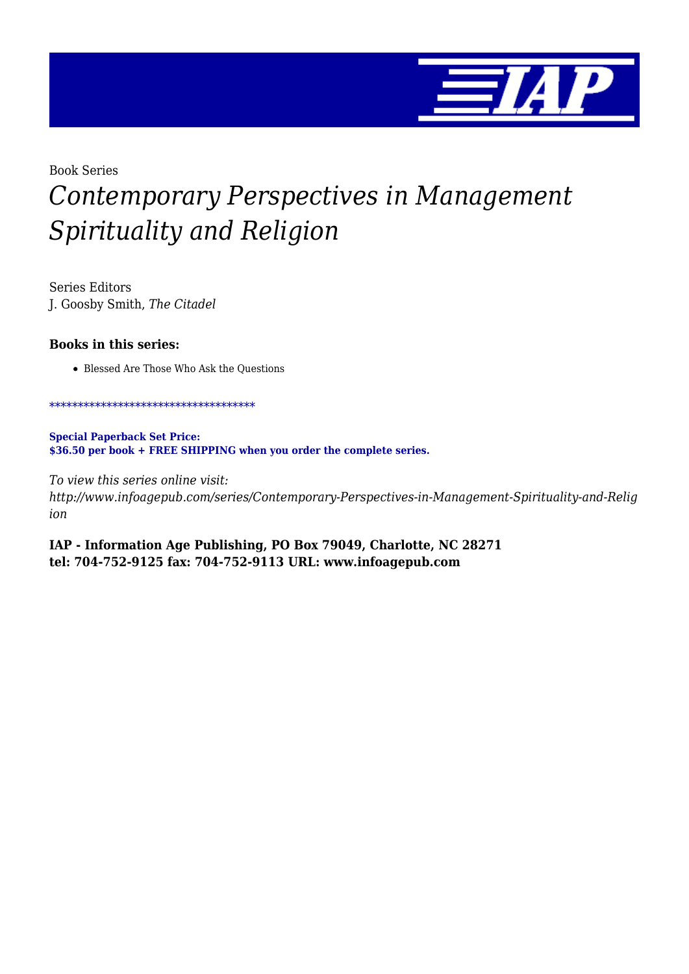

## Book Series *Contemporary Perspectives in Management Spirituality and Religion*

Series Editors J. Goosby Smith, *The Citadel*

## **Books in this series:**

Blessed Are Those Who Ask the Questions

\*\*\*\*\*\*\*\*\*\*\*\*\*\*\*\*\*\*\*\*\*\*\*\*\*\*\*\*\*\*\*\*\*\*\*\*

**Special Paperback Set Price: \$36.50 per book + FREE SHIPPING when you order the complete series.**

*To view this series online visit: http://www.infoagepub.com/series/Contemporary-Perspectives-in-Management-Spirituality-and-Relig ion*

**IAP - Information Age Publishing, PO Box 79049, Charlotte, NC 28271 tel: 704-752-9125 fax: 704-752-9113 URL: www.infoagepub.com**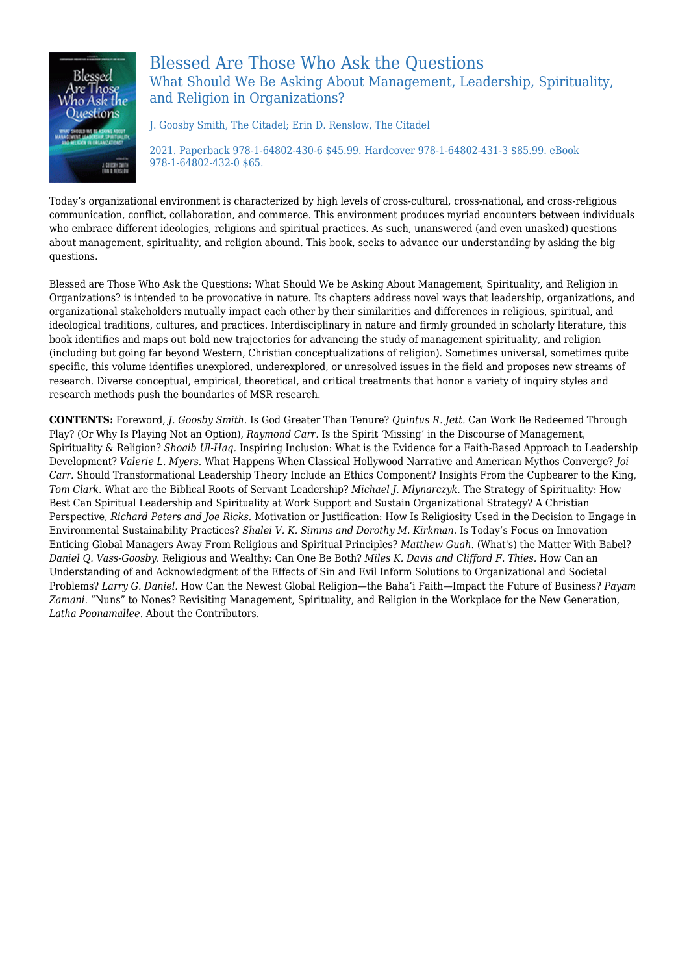

## Blessed Are Those Who Ask the Questions What Should We Be Asking About Management, Leadership, Spirituality, and Religion in Organizations?

J. Goosby Smith, The Citadel; Erin D. Renslow, The Citadel

2021. Paperback 978-1-64802-430-6 \$45.99. Hardcover 978-1-64802-431-3 \$85.99. eBook 978-1-64802-432-0 \$65.

Today's organizational environment is characterized by high levels of cross-cultural, cross-national, and cross-religious communication, conflict, collaboration, and commerce. This environment produces myriad encounters between individuals who embrace different ideologies, religions and spiritual practices. As such, unanswered (and even unasked) questions about management, spirituality, and religion abound. This book, seeks to advance our understanding by asking the big questions.

Blessed are Those Who Ask the Questions: What Should We be Asking About Management, Spirituality, and Religion in Organizations? is intended to be provocative in nature. Its chapters address novel ways that leadership, organizations, and organizational stakeholders mutually impact each other by their similarities and differences in religious, spiritual, and ideological traditions, cultures, and practices. Interdisciplinary in nature and firmly grounded in scholarly literature, this book identifies and maps out bold new trajectories for advancing the study of management spirituality, and religion (including but going far beyond Western, Christian conceptualizations of religion). Sometimes universal, sometimes quite specific, this volume identifies unexplored, underexplored, or unresolved issues in the field and proposes new streams of research. Diverse conceptual, empirical, theoretical, and critical treatments that honor a variety of inquiry styles and research methods push the boundaries of MSR research.

**CONTENTS:** Foreword, *J. Goosby Smith.* Is God Greater Than Tenure? *Quintus R. Jett.* Can Work Be Redeemed Through Play? (Or Why Is Playing Not an Option), *Raymond Carr.* Is the Spirit 'Missing' in the Discourse of Management, Spirituality & Religion? *Shoaib Ul-Haq.* Inspiring Inclusion: What is the Evidence for a Faith-Based Approach to Leadership Development? *Valerie L. Myers.* What Happens When Classical Hollywood Narrative and American Mythos Converge? *Joi Carr.* Should Transformational Leadership Theory Include an Ethics Component? Insights From the Cupbearer to the King, *Tom Clark.* What are the Biblical Roots of Servant Leadership? *Michael J. Mlynarczyk.* The Strategy of Spirituality: How Best Can Spiritual Leadership and Spirituality at Work Support and Sustain Organizational Strategy? A Christian Perspective, *Richard Peters and Joe Ricks.* Motivation or Justification: How Is Religiosity Used in the Decision to Engage in Environmental Sustainability Practices? *Shalei V. K. Simms and Dorothy M. Kirkman.* Is Today's Focus on Innovation Enticing Global Managers Away From Religious and Spiritual Principles? *Matthew Guah.* (What's) the Matter With Babel? *Daniel Q. Vass-Goosby.* Religious and Wealthy: Can One Be Both? *Miles K. Davis and Clifford F. Thies.* How Can an Understanding of and Acknowledgment of the Effects of Sin and Evil Inform Solutions to Organizational and Societal Problems? *Larry G. Daniel.* How Can the Newest Global Religion—the Baha'i Faith—Impact the Future of Business? *Payam Zamani.* "Nuns" to Nones? Revisiting Management, Spirituality, and Religion in the Workplace for the New Generation, *Latha Poonamallee.* About the Contributors.